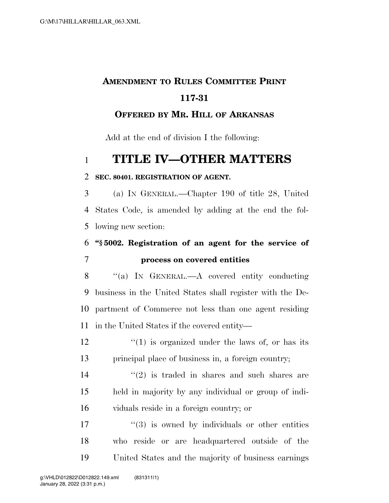# **AMENDMENT TO RULES COMMITTEE PRINT 117-31**

#### **OFFERED BY MR. HILL OF ARKANSAS**

Add at the end of division I the following:

## **TITLE IV—OTHER MATTERS**

#### **SEC. 80401. REGISTRATION OF AGENT.**

 (a) IN GENERAL.—Chapter 190 of title 28, United States Code, is amended by adding at the end the fol-lowing new section:

### **''§ 5002. Registration of an agent for the service of process on covered entities**

 ''(a) IN GENERAL.—A covered entity conducting business in the United States shall register with the De- partment of Commerce not less than one agent residing in the United States if the covered entity—

 $\frac{12}{12}$  ''(1) is organized under the laws of, or has its principal place of business in, a foreign country;

 $\frac{14}{2}$  ''(2) is traded in shares and such shares are held in majority by any individual or group of indi-viduals reside in a foreign country; or

 $\frac{17}{2}$  ''(3) is owned by individuals or other entities who reside or are headquartered outside of the United States and the majority of business earnings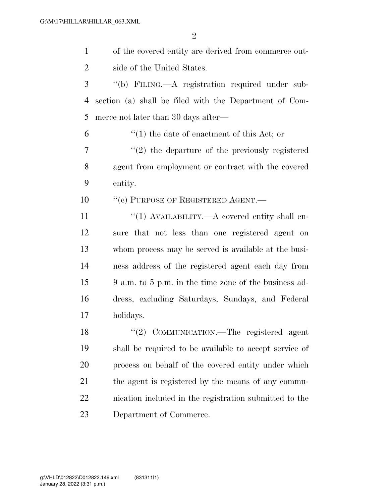$\mathfrak{D}$ 

 of the covered entity are derived from commerce out- side of the United States. ''(b) FILING.—A registration required under sub-section (a) shall be filed with the Department of Com-

merce not later than 30 days after—

 $\mathfrak{b}$   $\mathfrak{t}(1)$  the date of enactment of this Act; or

7  $\frac{1}{2}$  the departure of the previously registered agent from employment or contract with the covered entity.

10 "(c) PURPOSE OF REGISTERED AGENT.—

 $\frac{1}{1}$  AVAILABILITY.—A covered entity shall en- sure that not less than one registered agent on whom process may be served is available at the busi- ness address of the registered agent each day from 9 a.m. to 5 p.m. in the time zone of the business ad- dress, excluding Saturdays, Sundays, and Federal holidays.

18 "(2) COMMUNICATION.—The registered agent shall be required to be available to accept service of process on behalf of the covered entity under which the agent is registered by the means of any commu- nication included in the registration submitted to the Department of Commerce.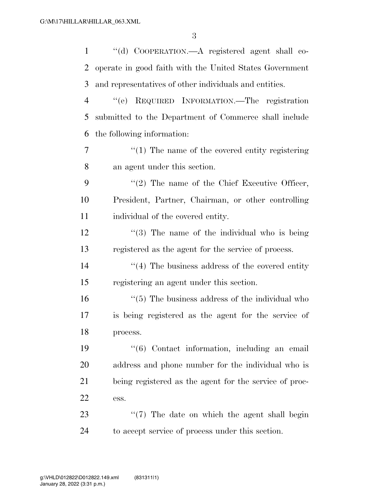| $\mathbf{1}$   | "(d) COOPERATION.—A registered agent shall co-                  |
|----------------|-----------------------------------------------------------------|
| 2              | operate in good faith with the United States Government         |
| 3              | and representatives of other individuals and entities.          |
| $\overline{4}$ | "(e) REQUIRED INFORMATION.—The registration                     |
| 5              | submitted to the Department of Commerce shall include           |
| 6              | the following information:                                      |
| 7              | $\cdot\cdot\cdot(1)$ The name of the covered entity registering |
| 8              | an agent under this section.                                    |
| 9              | $\lq(2)$ The name of the Chief Executive Officer,               |
| 10             | President, Partner, Chairman, or other controlling              |
| 11             | individual of the covered entity.                               |
| 12             | $\cdot\cdot\cdot(3)$ The name of the individual who is being    |
| 13             | registered as the agent for the service of process.             |
| 14             | $\cdot$ (4) The business address of the covered entity          |
| 15             | registering an agent under this section.                        |
| 16             | $\cdot\cdot$ (5) The business address of the individual who     |
| 17             | is being registered as the agent for the service of             |
| 18             | process.                                                        |
| 19             | $\cdot\cdot$ (6) Contact information, including an email        |
| <b>20</b>      | address and phone number for the individual who is              |
| 21             | being registered as the agent for the service of proc-          |
| 22             | ess.                                                            |
| 23             | "(7) The date on which the agent shall begin                    |
| 24             | to accept service of process under this section.                |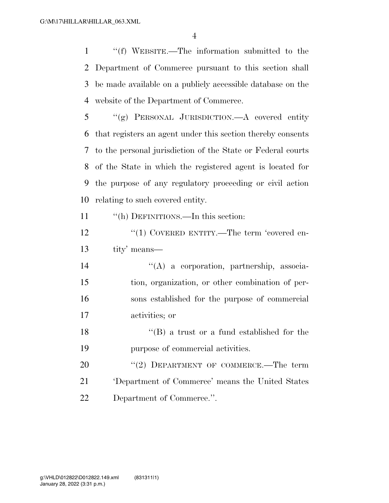''(f) WEBSITE.—The information submitted to the Department of Commerce pursuant to this section shall be made available on a publicly accessible database on the website of the Department of Commerce.

 ''(g) PERSONAL JURISDICTION.—A covered entity that registers an agent under this section thereby consents to the personal jurisdiction of the State or Federal courts of the State in which the registered agent is located for the purpose of any regulatory proceeding or civil action relating to such covered entity.

''(h) DEFINITIONS.—In this section:

12 "(1) COVERED ENTITY.—The term 'covered en-tity' means—

 ''(A) a corporation, partnership, associa- tion, organization, or other combination of per- sons established for the purpose of commercial activities; or

18 ''(B) a trust or a fund established for the purpose of commercial activities.

20 "(2) DEPARTMENT OF COMMERCE.—The term 'Department of Commerce' means the United States Department of Commerce.''.